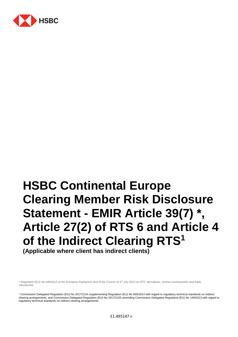

# **HSBC Continental Europe Clearing Member Risk Disclosure Statement - EMIR Article 39(7) \*, Article 27(2) of RTS 6 and Article 4 of the Indirect Clearing RTS<sup>1</sup>**

**(Applicable where client has indirect clients)**

\* Regulation (EU) No 648/2012 of the European Parliament and of the Council of 4<sup>th</sup> July 2012 on OTC derivatives, central counterparties and trade repositories.

<sup>1</sup> Commission Delegated Regulation (EU) No 2017/2154 supplementing Regulation (EU) No 600/2014 with regard to regulatory technical standards on indirect clearing arrangements, and Commission Delegated Regulation (EU) No 2017/2155 amending Commission Delegated Regulation (EU) No 149/2013 with regard to regulatory technical standards on indirect clearing arrangements.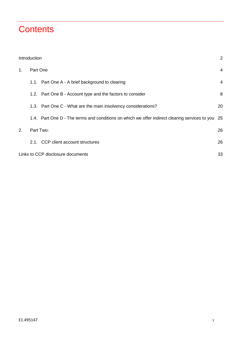# **Contents**

|    | Introduction |                                                                                                | 2              |
|----|--------------|------------------------------------------------------------------------------------------------|----------------|
| 1. | Part One     |                                                                                                | 4              |
|    |              | 1.1. Part One A - A brief background to clearing                                               | $\overline{4}$ |
|    |              | 1.2. Part One B - Account type and the factors to consider                                     | 8              |
|    |              | 1.3. Part One C - What are the main insolvency considerations?                                 | 20             |
|    |              | 1.4. Part One D - The terms and conditions on which we offer indirect clearing services to you | 25             |
| 2. | Part Two:    |                                                                                                | 26             |
|    |              | 2.1. CCP client account structures                                                             | 26             |
|    |              | Links to CCP disclosure documents                                                              | 33             |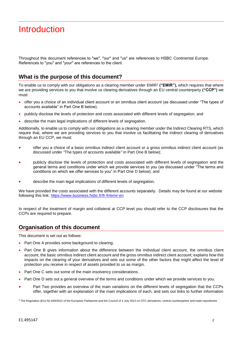# <span id="page-2-0"></span>**Introduction**

Throughout this document references to "we", "our" and "us" are references to HSBC Continental Europe. References to "you" and "your" are references to the client.

# **What is the purpose of this document?**

To enable us to comply with our obligations as a clearing member under EMIR<sup>2</sup> **("EMIR"),** which requires that where we are providing services to you that involve us clearing derivatives through an EU central counterparty **("CCP")** we must:

- offer you a choice of an individual client account or an omnibus client account (as discussed under "The types of accounts available" in Part One B below);
- publicly disclose the levels of protection and costs associated with different levels of segregation; and
- describe the main legal implications of different levels of segregation.

Additionally, to enable us to comply with our obligations as a clearing member under the Indirect Clearing RTS, which require that, where we are providing services to you that involve us facilitating the indirect clearing of derivatives through an EU CCP, we must:

- offer you a choice of a basic omnibus indirect client account or a gross omnibus indirect client account (as discussed under *"*The types of accounts available*"* in Part One B below);
- publicly disclose the levels of protection and costs associated with different levels of segregation and the general terms and conditions under which we provide services to you (as discussed under "The terms and conditions on which we offer services to you" in Part One D below); and
- describe the main legal implications of different levels of segregation.

We have provided the costs associated with the different accounts separately. Details may be found at our website following this link:<https://www.business.hsbc.fr/fr-fr/emir-en>

In respect of the treatment of margin and collateral at CCP level you should refer to the CCP disclosures that the CCPs are required to prepare.

### **Organisation of this document**

This document is set out as follows:

- Part One A provides some background to clearing.
- Part One B gives information about the difference between the individual client account, the omnibus client account, the basic omnibus indirect client account and the gross omnibus indirect client account; explains how this impacts on the clearing of your derivatives and sets out some of the other factors that might affect the level of protection you receive in respect of assets provided to us as margin.
- Part One C sets out some of the main insolvency considerations.
- Part One D sets out a general overview of the terms and conditions under which we provide services to you.
- Part Two provides an overview of the main variations on the different levels of segregation that the CCPs offer, together with an explanation of the main implications of each, and sets out links to further information

<sup>2</sup> The Regulation (EU) No 648/2012 of the European Parliament and the Council of 4 July 2012 on OTC derivatives, central counterparties and trade repositories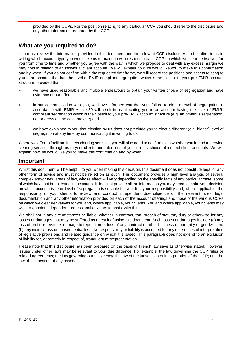provided by the CCPs. For the position relating to any particular CCP you should refer to the disclosure and any other information prepared by the CCP.

# **What are you required to do?**

You must review the information provided in this document and the relevant CCP disclosures and confirm to us in writing which account type you would like us to maintain with respect to each CCP on which we clear derivatives for you from time to time and whether you agree with the way in which we propose to deal with any excess margin we may hold in relation to an individual client account. We will explain how we would like you to make this confirmation and by when. If you do not confirm within the requested timeframe, we will record the positions and assets relating to you in an account that has the level of EMIR-compliant segregation which is the closest to your pre-EMIR account structure, provided that:

- we have used reasonable and multiple endeavours to obtain your written choice of segregation and have evidence of our efforts;
- in our communication with you, we have informed you that your failure to elect a level of segregation in accordance with EMIR Article 39 will result in us allocating you to an account having the level of EMIRcompliant segregation which is the closest to your pre-EMIR account structure (e.g. an omnibus segregation, net or gross as the case may be) and
- we have explained to you that election by us does not preclude you to elect a different (e.g. higher) level of segregation at any time by communicating it in writing to us.

Where we offer to facilitate indirect clearing services, you will also need to confirm to us whether you intend to provide clearing services through us to your clients and inform us of your clients' choice of indirect client accounts. We will explain how we would like you to make this confirmation and by when.

# **Important**

Whilst this document will be helpful to you when making this decision, this document does not constitute legal or any other form of advice and must not be relied on as such. This document provides a high level analysis of several complex and/or new areas of law, whose effect will vary depending on the specific facts of any particular case, some of which have not been tested in the courts. It does not provide all the information you may need to make your decision on which account type or level of segregation is suitable for you. It is your responsibility and, where applicable, the responsibility of your clients to review and conduct independent due diligence on the relevant rules, legal documentation and any other information provided on each of the account offerings and those of the various CCPs on which we clear derivatives for you and, where applicable, your clients. You and where applicable, your clients may wish to appoint independent professional advisors to assist with this.

We shall not in any circumstances be liable, whether in contract, tort, breach of statutory duty or otherwise for any losses or damages that may be suffered as a result of using this document. Such losses or damages include (a) any loss of profit or revenue, damage to reputation or loss of any contract or other business opportunity or goodwill and (b) any indirect loss or consequential loss. No responsibility or liability is accepted for any differences of interpretation of legislative provisions and related guidance on which it is based. This paragraph does not extend to an exclusion of liability for, or remedy in respect of, fraudulent misrepresentation.

Please note that this disclosure has been prepared on the basis of French law save as otherwise stated. However, issues under other laws may be relevant to your due diligence. For example, the law governing the CCP rules or related agreements; the law governing our insolvency; the law of the jurisdiction of incorporation of the CCP; and the law of the location of any assets.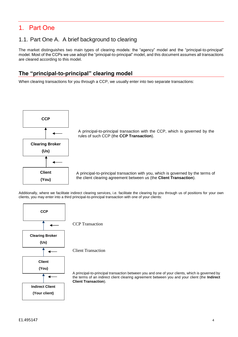# <span id="page-4-0"></span>1. Part One

# <span id="page-4-1"></span>1.1. Part One A. A brief background to clearing

The market distinguishes two main types of clearing models: the "agency" model and the "principal-to-principal" model. Most of the CCPs we use adopt the "principal-to-principal" model, and this document assumes all transactions are cleared according to this model.

# **The "principal-to-principal" clearing model**

When clearing transactions for you through a CCP, we usually enter into two separate transactions:



A principal-to-principal transaction with the CCP, which is governed by the rules of such CCP (the **CCP Transaction**).

A principal-to-principal transaction with you, which is governed by the terms of the client clearing agreement between us (the **Client Transaction**).

Additionally, where we facilitate indirect clearing services, i.e. facilitate the clearing by you through us of positions for your own clients, you may enter into a third principal-to-principal transaction with one of your clients:



CCP Transaction

Client Transaction

A principal-to-principal transaction between you and one of your clients, which is governed by the terms of an indirect client clearing agreement between you and your client (the **Indirect Client Transaction**).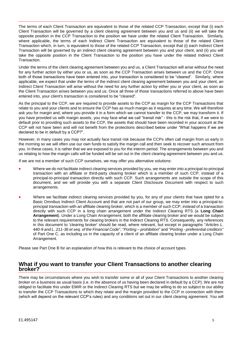The terms of each Client Transaction are equivalent to those of the related CCP Transaction, except that (i) each Client Transaction will be governed by a client clearing agreement between you and us and (ii) we will take the opposite position in the CCP Transaction to the position we have under the related Client Transaction. Similarly, where applicable, the terms of each Indirect Client Transaction are equivalent to those of the related Client Transaction which, in turn, is equivalent to those of the related CCP Transaction, except that (i) each Indirect Client Transaction will be governed by an indirect client clearing agreement between you and your client, and (ii) you will take the opposite position in the Client Transaction to the position you have under the related Indirect Client Transaction.

Under the terms of the client clearing agreement between you and us, a Client Transaction will arise without the need for any further action by either you or us, as soon as the CCP Transaction arises between us and the CCP. Once both of those transactions have been entered into, your transaction is considered to be "cleared". Similarly, where applicable, we expect that under the terms of the indirect client clearing agreement between you and your client, an Indirect Client Transaction will arise without the need for any further action by either you or your client, as soon as the Client Transaction arises between you and us. Once all three of those transactions referred to above have been entered into, your client's transaction is considered to be "cleared".

As the principal to the CCP, we are required to provide assets to the CCP as margin for the CCP Transactions that relate to you and your clients and to ensure the CCP has as much margin as it requires at any time. We will therefore ask you for margin and, where you provide it in a form which we cannot transfer to the CCP, we may transform it. If you have provided us with margin assets, you may face what we call "transit risk" - this is the risk that, if we were to default prior to providing such assets to the CCP, the assets that should have been recorded in your account at the CCP will not have been and will not benefit from the protections described below under "What happens if we are declared to be in default by a CCP?".

However, in many cases you may not actually face transit risk because the CCPs often call margin from us early in the morning so we will often use our own funds to satisfy the margin call and then seek to recover such amount from you. In these cases, it is rather that we are exposed to you for the interim period. The arrangements between you and us relating to how the margin calls will be funded will be set out in the client clearing agreement between you and us.

If we are not a member of such CCP ourselves, we may offer you alternative solutions:

- Where we do not facilitate indirect clearing services provided by you, we may enter into a principal-to-principal transaction with an affiliate or third-party clearing broker which is a member of such CCP, instead of a principal-to-principal transaction directly with such CCP. Such arrangements are outside the scope of this document, and we will provide you with a separate Client Disclosure Document with respect to such arrangements.
- Where we facilitate indirect clearing services provided by you, for any of your clients that have opted for a Basic Omnibus Indirect Client Account and that are not part of our group, we may enter into a principal-toprincipal transaction with an affiliate clearing broker, which is a member of such CCP, instead of a transaction directly with such CCP in a long chain arrangement under the Indirect Clearing RTS (a **Long Chain Arrangement**). Under a Long Chain Arrangement, both the affiliate clearing broker and we would be subject to the relevant requirements for clearing brokers in the Indirect Clearing RTS. Consequently, any references in this document to 'clearing broker' should be read, where relevant, but except in paragraphs "*Articles L. 440-9 and L. 211-36 et seq. of the Financial Code*", "*Porting – prohibition*" and "*Porting - preferential creditors*" of Part One C, as including us in the capacity of a client of an affiliate clearing broker under a Long Chain Arrangement.

Please see Part One B for an explanation of how this is relevant to the choice of account types.

#### **What if you want to transfer your Client Transactions to another clearing broker?**

There may be circumstances where you wish to transfer some or all of your Client Transactions to another clearing broker on a business as usual basis (i.e. in the absence of us having been declared in default by a CCP). We are not obliged to facilitate this under EMIR or the Indirect Clearing RTS but we may be willing to do so subject to our ability to transfer the CCP Transactions to which they relate and the margin provided to the CCP in connection with them (which will depend on the relevant CCP's rules) and any conditions set out in our client clearing agreement. You will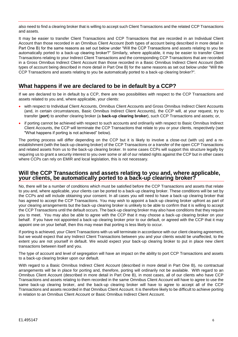also need to find a clearing broker that is willing to accept such Client Transactions and the related CCP Transactions and assets.

It may be easier to transfer Client Transactions and CCP Transactions that are recorded in an Individual Client Account than those recorded in an Omnibus Client Account (both types of account being described in more detail in Part One B) for the same reasons as set out below under "Will the CCP Transactions and assets relating to you be automatically ported to a back-up clearing broker?" Similarly, where applicable, it may be easier to transfer Client Transactions relating to your Indirect Client Transactions and the corresponding CCP Transactions that are recorded in a Gross Omnibus Indirect Client Account than those recorded in a Basic Omnibus Indirect Client Account (both types of account being described in more detail in Part One B) for the same reasons as set out below under "Will the CCP Transactions and assets relating to you be automatically ported to a back-up clearing broker?"*.*

# **What happens if we are declared to be in default by a CCP?**

If we are declared to be in default by a CCP, there are two possibilities with respect to the CCP Transactions and assets related to you and, where applicable, your clients:

- with respect to Individual Client Accounts, Omnibus Client Accounts and Gross Omnibus Indirect Client Accounts (and, in certain circumstances, Basic Omnibus Indirect Client Accounts), the CCP will, at your request, try to transfer (**port**) to another clearing broker (a **back-up clearing broker**), such CCP Transactions and assets; or,
- if porting cannot be achieved with respect to such accounts and ordinarily with respect to Basic Omnibus Indirect Client Accounts, the CCP will terminate the CCP Transactions that relate to you or your clients, respectively (see "What happens if porting is not achieved" below).

The porting process will differ depending on the CCP but it is likely to involve a close-out (with us) and a reestablishment (with the back-up clearing broker) of the CCP Transactions or a transfer of the open CCP Transactions and related assets from us to the back-up clearing broker. In some cases CCPs will support this structure legally by requiring us to grant a security interest to you over some or all of our related rights against the CCP but in other cases where CCPs can rely on EMIR and local legislation, this is not necessary.

#### **Will the CCP Transactions and assets relating to you and, where applicable, your clients, be automatically ported to a back-up clearing broker?**

No, there will be a number of conditions which must be satisfied before the CCP Transactions and assets that relate to you and, where applicable, your clients can be ported to a back-up clearing broker. These conditions will be set by the CCPs and will include obtaining your consent. In all cases you will need to have a back-up clearing broker that has agreed to accept the CCP Transactions. You may wish to appoint a back-up clearing broker upfront as part of your clearing arrangements but the back-up clearing broker is unlikely to be able to confirm that it is willing to accept the CCP Transactions until the default occurs. The back-up clearing broker may also have conditions that they require you to meet. You may also be able to agree with the CCP that it may choose a back-up clearing broker on your behalf. If you have not appointed a back-up clearing broker prior to our default, or agreed with the CCP that it may appoint one on your behalf, then this may mean that porting is less likely to occur.

If porting is achieved, your Client Transactions with us will terminate in accordance with our client clearing agreement, but we would expect that any Indirect Client Transactions between you and your clients would be unaffected, to the extent you are not yourself in default. We would expect your back-up clearing broker to put in place new client transactions between itself and you.

The type of account and level of segregation will have an impact on the ability to port CCP Transactions and assets to a back-up clearing broker upon our default.

With regard to a Basic Omnibus Indirect Client Account (described in more detail in Part One B), no contractual arrangements will be in place for porting and, therefore, porting will ordinarily not be available. With regard to an Omnibus Client Account (described in more detail in Part One B), in most cases, all of our clients who have CCP Transactions and assets relating to them recorded in the same Omnibus Client Account will have to agree to use the same back-up clearing broker, and the back-up clearing broker will have to agree to accept all of the CCP Transactions and assets recorded in that Omnibus Client Account. It is therefore likely to be difficult to achieve porting in relation to an Omnibus Client Account or Basic Omnibus Indirect Client Account.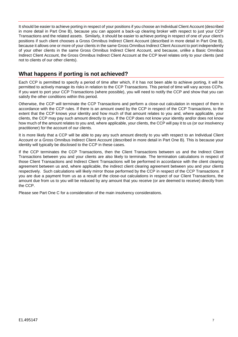It should be easier to achieve porting in respect of your positions if you choose an Individual Client Account (described in more detail in Part One B), because you can appoint a back-up clearing broker with respect to just your CCP Transactions and the related assets. Similarly, it should be easier to achieve porting in respect of one of your client's positions if such client chooses a Gross Omnibus Indirect Client Account (described in more detail in Part One B), because it allows one or more of your clients in the same Gross Omnibus Indirect Client Account to port independently of your other clients in the same Gross Omnibus Indirect Client Account, and because, unlike a Basic Omnibus Indirect Client Account, the Gross Omnibus Indirect Client Account at the CCP level relates only to your clients (and not to clients of our other clients).

# **What happens if porting is not achieved?**

Each CCP is permitted to specify a period of time after which, if it has not been able to achieve porting, it will be permitted to actively manage its risks in relation to the CCP Transactions. This period of time will vary across CCPs. If you want to port your CCP Transactions (where possible), you will need to notify the CCP and show that you can satisfy the other conditions within this period.

Otherwise, the CCP will terminate the CCP Transactions and perform a close-out calculation in respect of them in accordance with the CCP rules. If there is an amount owed by the CCP in respect of the CCP Transactions, to the extent that the CCP knows your identity and how much of that amount relates to you and, where applicable, your clients, the CCP may pay such amount directly to you. If the CCP does not know your identity and/or does not know how much of the amount relates to you and, where applicable, your clients, the CCP will pay it to us (or our insolvency practitioner) for the account of our clients.

It is more likely that a CCP will be able to pay any such amount directly to you with respect to an Individual Client Account or a Gross Omnibus Indirect Client Account (described in more detail in Part One B). This is because your identity will typically be disclosed to the CCP in these cases.

If the CCP terminates the CCP Transactions, then the Client Transactions between us and the Indirect Client Transactions between you and your clients are also likely to terminate. The termination calculations in respect of those Client Transactions and Indirect Client Transactions will be performed in accordance with the client clearing agreement between us and, where applicable, the indirect client clearing agreement between you and your clients respectively. Such calculations will likely mirror those performed by the CCP in respect of the CCP Transactions. If you are due a payment from us as a result of the close-out calculations in respect of our Client Transactions, the amount due from us to you will be reduced by any amount that you receive (or are deemed to receive) directly from the CCP.

Please see Part One C for a consideration of the main insolvency considerations.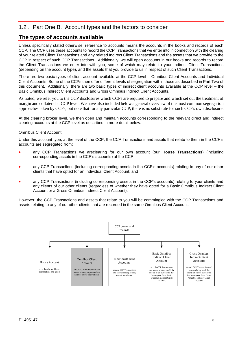# <span id="page-8-0"></span>1.2 . Part One B. Account types and the factors to consider

# **The types of accounts available**

Unless specifically stated otherwise, reference to accounts means the accounts in the books and records of each CCP. The CCP uses these accounts to record the CCP Transactions that we enter into in connection with the clearing of your related Client Transactions and any related Indirect Client Transactions and the assets that we provide to the CCP in respect of such CCP Transactions. Additionally, we will open accounts in our books and records to record the Client Transactions we enter into with you, some of which may relate to your Indirect Client Transactions (depending on the account type), and the assets that you provide to us in respect of such Client Transactions.

There are two basic types of client account available at the CCP level – Omnibus Client Accounts and Individual Client Accounts. Some of the CCPs then offer different levels of segregation within those as described in Part Two of this document. Additionally, there are two basic types of indirect client accounts available at the CCP level – the Basic Omnibus Indirect Client Accounts and Gross Omnibus Indirect Client Accounts.

As noted, we refer you to the CCP disclosures which CCPs are required to prepare and which set out the treatment of margin and collateral at CCP level. We have also included below a general overview of the most common segregation approaches taken by CCPs, but note that for any particular CCP, there is no substitute for such CCP's own disclosure.

At the clearing broker level, we then open and maintain accounts corresponding to the relevant direct and indirect clearing accounts at the CCP level as described in more detail below.

#### Omnibus Client Account

Under this account type, at the level of the CCP, the CCP Transactions and assets that relate to them in the CCP's accounts are segregated from:

- any CCP Transactions we areclearing for our own account (our **House Transactions**) (including corresponding assets in the CCP's accounts) at the CCP;
- any CCP Transactions (including corresponding assets in the CCP's accounts) relating to any of our other clients that have opted for an Individual Client Account; and
- any CCP Transactions (including corresponding assets in the CCP's accounts) relating to your clients and any clients of our other clients (regardless of whether they have opted for a Basic Omnibus Indirect Client Account or a Gross Omnibus Indirect Client Account).

However, the CCP Transactions and assets that relate to you will be commingled with the CCP Transactions and assets relating to any of our other clients that are recorded in the same Omnibus Client Account.

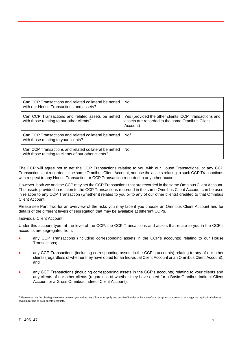| Can CCP Transactions and related collateral be netted<br>with our House Transactions and assets?              | No.                                                                                                                 |
|---------------------------------------------------------------------------------------------------------------|---------------------------------------------------------------------------------------------------------------------|
| Can CCP Transactions and related assets be netted<br>with those relating to our other clients?                | Yes (provided the other clients' CCP Transactions and<br>assets are recorded in the same Omnibus Client<br>Account) |
| Can CCP Transactions and related collateral be netted<br>with those relating to your clients?                 | No <sup>3</sup>                                                                                                     |
| Can CCP Transactions and related collateral be netted<br>with those relating to clients of our other clients? | No.                                                                                                                 |

The CCP will agree not to net the CCP Transactions relating to you with our House Transactions, or any CCP Transactions not recorded in the same Omnibus Client Account, nor use the assets relating to such CCP Transactions with respect to any House Transaction or CCP Transaction recorded in any other account.

However, both we and the CCP may net the CCP Transactions that are recorded in the same Omnibus Client Account. The assets provided in relation to the CCP Transactions recorded in the same Omnibus Client Account can be used in relation to any CCP Transaction (whether it relates to you or to any of our other clients) credited to that Omnibus Client Account.

Please see Part Two for an overview of the risks you may face if you choose an Omnibus Client Account and for details of the different levels of segregation that may be available at different CCPs.

Individual Client Account

Under this account type, at the level of the CCP, the CCP Transactions and assets that relate to you in the CCP's accounts are segregated from:

- any CCP Transactions (including corresponding assets in the CCP's accounts) relating to our House Transactions;
- any CCP Transactions (including corresponding assets in the CCP's accounts) relating to any of our other clients (regardless of whether they have opted for an Individual Client Account or an Omnibus Client Account); and
- any CCP Transactions (including corresponding assets in the CCP's accounts) relating to your clients and any clients of our other clients (regardless of whether they have opted for a Basic Omnibus Indirect Client Account or a Gross Omnibus Indirect Client Account).

<sup>&</sup>lt;sup>3</sup> Please note that the clearing agreement between you and us may allow us to apply any positive liquidation balance of your proprietary account to any negative liquidation balances owed in respect of your clients' accounts.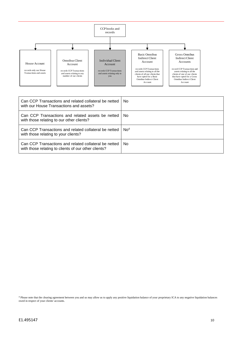

| Can CCP Transactions and related collateral be netted<br>with our House Transactions and assets?              | No.             |
|---------------------------------------------------------------------------------------------------------------|-----------------|
| Can CCP Transactions and related assets be netted<br>with those relating to our other clients?                | No.             |
| Can CCP Transactions and related collateral be netted<br>with those relating to your clients?                 | No <sup>4</sup> |
| Can CCP Transactions and related collateral be netted<br>with those relating to clients of our other clients? | No.             |

<sup>4</sup> Please note that the clearing agreement between you and us may allow us to apply any positive liquidation balance of your proprietary ICA to any negative liquidation balances owed in respect of your clients' accounts.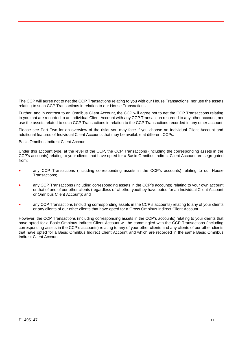The CCP will agree not to net the CCP Transactions relating to you with our House Transactions, nor use the assets relating to such CCP Transactions in relation to our House Transactions.

Further, and in contrast to an Omnibus Client Account, the CCP will agree not to net the CCP Transactions relating to you that are recorded to an Individual Client Account with any CCP Transaction recorded to any other account, nor use the assets related to such CCP Transactions in relation to the CCP Transactions recorded in any other account.

Please see Part Two for an overview of the risks you may face if you choose an Individual Client Account and additional features of Individual Client Accounts that may be available at different CCPs.

Basic Omnibus Indirect Client Account

Under this account type, at the level of the CCP, the CCP Transactions (including the corresponding assets in the CCP's accounts) relating to your clients that have opted for a Basic Omnibus Indirect Client Account are segregated from:

- any CCP Transactions (including corresponding assets in the CCP's accounts) relating to our House Transactions;
- any CCP Transactions (including corresponding assets in the CCP's accounts) relating to your own account or that of one of our other clients (regardless of whether you/they have opted for an Individual Client Account or Omnibus Client Account); and
- any CCP Transactions (including corresponding assets in the CCP's accounts) relating to any of your clients or any clients of our other clients that have opted for a Gross Omnibus Indirect Client Account.

However, the CCP Transactions (including corresponding assets in the CCP's accounts) relating to your clients that have opted for a Basic Omnibus Indirect Client Account will be commingled with the CCP Transactions (including corresponding assets in the CCP's accounts) relating to any of your other clients and any clients of our other clients that have opted for a Basic Omnibus Indirect Client Account and which are recorded in the same Basic Omnibus Indirect Client Account.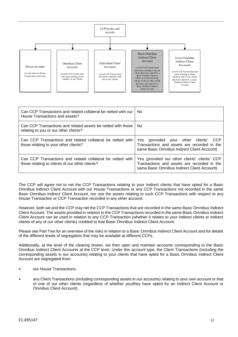

| Can CCP Transactions and related collateral be netted with our<br>House Transactions and assets?              | No.                                                                                                                                               |
|---------------------------------------------------------------------------------------------------------------|---------------------------------------------------------------------------------------------------------------------------------------------------|
| Can CCP Transactions and related assets be netted with those<br>relating to you or our other clients?         | No.                                                                                                                                               |
| Can CCP Transactions and related collateral be netted with<br>those relating to your other clients?           | (provided your other clients'<br><b>CCP</b><br>Yes.<br>Transactions and assets are recorded in the<br>same Basic Omnibus Indirect Client Account) |
| Can CCP Transactions and related collateral be netted with<br>those relating to clients of our other clients? | Yes (provided our other clients' clients' CCP<br>Transactions and assets are recorded in the<br>same Basic Omnibus Indirect Client Account)       |

The CCP will agree not to net the CCP Transactions relating to your indirect clients that have opted for a Basic Omnibus Indirect Client Account with our House Transactions or any CCP Transactions not recorded in the same Basic Omnibus Indirect Client Account, nor use the assets relating to such CCP Transactions with respect to any House Transaction or CCP Transaction recorded in any other account.

However, both we and the CCP may net the CCP Transactions that are recorded in the same Basic Omnibus Indirect Client Account. The assets provided in relation to the CCP Transactions recorded in the same Basic Omnibus Indirect Client Account can be used in relation to any CCP Transaction (whether it relates to your indirect clients or indirect clients of any of our other clients) credited to that Basic Omnibus Indirect Client Account.

Please see Part Two for an overview of the risks in relation to a Basic Omnibus Indirect Client Account and for details of the different levels of segregation that may be available at different CCPs.

Additionally, at the level of the clearing broker, we then open and maintain accounts corresponding to the Basic Omnibus Indirect Client Accounts at the CCP level. Under this account type, the Client Transactions (including the corresponding assets in our accounts) relating to your clients that have opted for a Basic Omnibus Indirect Client Account are segregated from:

- our House Transactions;
- any Client Transactions (including corresponding assets in our accounts) relating to your own account or that of one of our other clients (regardless of whether you/they have opted for an Indirect Client Account or Omnibus Client Account);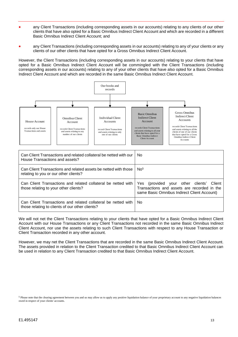- any Client Transactions (including corresponding assets in our accounts) relating to any clients of our other clients that have also opted for a Basic Omnibus Indirect Client Account and which are recorded in a different Basic Omnibus Indirect Client Account; and
- any Client Transactions (including corresponding assets in our accounts) relating to any of your clients or any clients of our other clients that have opted for a Gross Omnibus Indirect Client Account.

However, the Client Transactions (including corresponding assets in our accounts) relating to your clients that have opted for a Basic Omnibus Indirect Client Account will be commingled with the Client Transactions (including corresponding assets in our accounts) relating to any of your other clients that have also opted for a Basic Omnibus Indirect Client Account and which are recorded in the same Basic Omnibus Indirect Client Account.



| Can Client Transactions and related collateral be netted with our<br>House Transactions and assets?              | No.                                                                                                                                                 |
|------------------------------------------------------------------------------------------------------------------|-----------------------------------------------------------------------------------------------------------------------------------------------------|
| Can Client Transactions and related assets be netted with those<br>relating to you or our other clients?         | No <sup>5</sup>                                                                                                                                     |
| Can Client Transactions and related collateral be netted with<br>those relating to your other clients?           | (provided your other clients'<br>Yes<br><b>Client</b><br>Transactions and assets are recorded in the<br>same Basic Omnibus Indirect Client Account) |
| Can Client Transactions and related collateral be netted with<br>those relating to clients of our other clients? | No.                                                                                                                                                 |

We will not net the Client Transactions relating to your clients that have opted for a Basic Omnibus Indirect Client Account with our House Transactions or any Client Transactions not recorded in the same Basic Omnibus Indirect Client Account, nor use the assets relating to such Client Transactions with respect to any House Transaction or Client Transaction recorded in any other account.

However, we may net the Client Transactions that are recorded in the same Basic Omnibus Indirect Client Account. The assets provided in relation to the Client Transaction credited to that Basic Omnibus Indirect Client Account can be used in relation to any Client Transaction credited to that Basic Omnibus Indirect Client Account.

<sup>5</sup> Please note that the clearing agreement between you and us may allow us to apply any positive liquidation balance of your proprietary account to any negative liquidation balances owed in respect of your clients' accounts.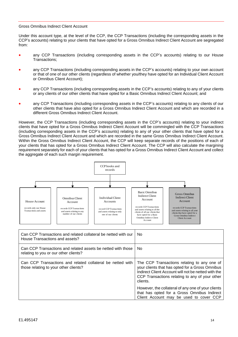#### Gross Omnibus Indirect Client Account

Under this account type, at the level of the CCP, the CCP Transactions (including the corresponding assets in the CCP's accounts) relating to your clients that have opted for a Gross Omnibus Indirect Client Account are segregated from:

- any CCP Transactions (including corresponding assets in the CCP's accounts) relating to our House Transactions;
- any CCP Transactions (including corresponding assets in the CCP's accounts) relating to your own account or that of one of our other clients (regardless of whether you/they have opted for an Individual Client Account or Omnibus Client Account);
- any CCP Transactions (including corresponding assets in the CCP's accounts) relating to any of your clients or any clients of our other clients that have opted for a Basic Omnibus Indirect Client Account; and
- any CCP Transactions (including corresponding assets in the CCP's accounts) relating to any clients of our other clients that have also opted for a Gross Omnibus Indirect Client Account and which are recorded in a different Gross Omnibus Indirect Client Account.

However, the CCP Transactions (including corresponding assets in the CCP's accounts) relating to your indirect clients that have opted for a Gross Omnibus Indirect Client Account will be commingled with the CCP Transactions (including corresponding assets in the CCP's accounts) relating to any of your other clients that have opted for a Gross Omnibus Indirect Client Account and which are recorded in the same Gross Omnibus Indirect Client Account. Within the Gross Omnibus Indirect Client Account, the CCP will keep separate records of the positions of each of your clients that has opted for a Gross Omnibus Indirect Client Account. The CCP will also calculate the margining requirement separately for each of your clients that has opted for a Gross Omnibus Indirect Client Account and collect the aggregate of each such margin requirement.



| Can CCP Transactions and related collateral be netted with our<br>House Transactions and assets?      | No.                                                                                                                                                                                                                 |
|-------------------------------------------------------------------------------------------------------|---------------------------------------------------------------------------------------------------------------------------------------------------------------------------------------------------------------------|
| Can CCP Transactions and related assets be netted with those<br>relating to you or our other clients? | No.                                                                                                                                                                                                                 |
| Can CCP Transactions and related collateral be netted with<br>those relating to your other clients?   | The CCP Transactions relating to any one of<br>your clients that has opted for a Gross Omnibus<br>Indirect Client Account will not be netted with the<br>CCP Transactions relating to any of your other<br>clients. |
|                                                                                                       | However, the collateral of any one of your clients<br>that has opted for a Gross Omnibus Indirect<br>Client Account may be used to cover CCP                                                                        |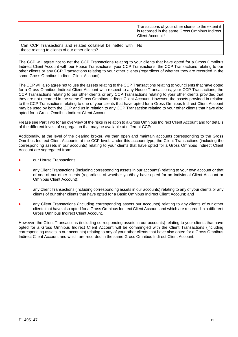|                                                                                                                    | Transactions of your other clients to the extent it<br>is recorded in the same Gross Omnibus Indirect<br>Client Account. <sup>i</sup> |
|--------------------------------------------------------------------------------------------------------------------|---------------------------------------------------------------------------------------------------------------------------------------|
| Can CCP Transactions and related collateral be netted with   No<br>those relating to clients of our other clients? |                                                                                                                                       |

The CCP will agree not to net the CCP Transactions relating to your clients that have opted for a Gross Omnibus Indirect Client Account with our House Transactions, your CCP Transactions, the CCP Transactions relating to our other clients or any CCP Transactions relating to your other clients (regardless of whether they are recorded in the same Gross Omnibus Indirect Client Account).

The CCP will also agree not to use the assets relating to the CCP Transactions relating to your clients that have opted for a Gross Omnibus Indirect Client Account with respect to any House Transactions, your CCP Transactions, the CCP Transactions relating to our other clients or any CCP Transactions relating to your other clients provided that they are not recorded in the same Gross Omnibus Indirect Client Account. However, the assets provided in relation to the CCP Transactions relating to one of your clients that have opted for a Gross Omnibus Indirect Client Account may be used by both the CCP and us in relation to any CCP Transaction relating to your other clients that have also opted for a Gross Omnibus Indirect Client Account.

Please see Part Two for an overview of the risks in relation to a Gross Omnibus Indirect Client Account and for details of the different levels of segregation that may be available at different CCPs.

Additionally, at the level of the clearing broker, we then open and maintain accounts corresponding to the Gross Omnibus Indirect Client Accounts at the CCP level. Under this account type, the Client Transactions (including the corresponding assets in our accounts) relating to your clients that have opted for a Gross Omnibus Indirect Client Account are segregated from:

- our House Transactions;
- any Client Transactions (including corresponding assets in our accounts) relating to your own account or that of one of our other clients (regardless of whether you/they have opted for an Individual Client Account or Omnibus Client Account);
- any Client Transactions (including corresponding assets in our accounts) relating to any of your clients or any clients of our other clients that have opted for a Basic Omnibus Indirect Client Account; and
- any Client Transactions (including corresponding assets our accounts) relating to any clients of our other clients that have also opted for a Gross Omnibus Indirect Client Account and which are recorded in a different Gross Omnibus Indirect Client Account.

However, the Client Transactions (including corresponding assets in our accounts) relating to your clients that have opted for a Gross Omnibus Indirect Client Account will be commingled with the Client Transactions (including corresponding assets in our accounts) relating to any of your other clients that have also opted for a Gross Omnibus Indirect Client Account and which are recorded in the same Gross Omnibus Indirect Client Account.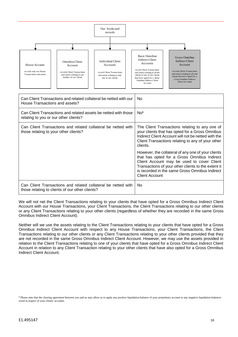

| Can Client Transactions and related collateral be netted with our<br>House Transactions and assets?              | No.                                                                                                                                                                                                                                                                               |
|------------------------------------------------------------------------------------------------------------------|-----------------------------------------------------------------------------------------------------------------------------------------------------------------------------------------------------------------------------------------------------------------------------------|
| Can Client Transactions and related assets be netted with those<br>relating to you or our other clients?         | No <sup>6</sup>                                                                                                                                                                                                                                                                   |
| Can Client Transactions and related collateral be netted with<br>those relating to your other clients?           | The Client Transactions relating to any one of<br>your clients that has opted for a Gross Omnibus<br>Indirect Client Account will not be netted with the<br>Client Transactions relating to any of your other<br>clients.                                                         |
|                                                                                                                  | However, the collateral of any one of your clients<br>that has opted for a Gross Omnibus Indirect<br>Client Account may be used to cover Client<br>Transactions of your other clients to the extent it<br>is recorded in the same Gross Omnibus Indirect<br><b>Client Account</b> |
| Can Client Transactions and related collateral be netted with<br>those relating to clients of our other clients? | No.                                                                                                                                                                                                                                                                               |

We will not net the Client Transactions relating to your clients that have opted for a Gross Omnibus Indirect Client Account with our House Transactions, your Client Transactions, the Client Transactions relating to our other clients or any Client Transactions relating to your other clients (regardless of whether they are recorded in the same Gross Omnibus Indirect Client Account).

Neither will we use the assets relating to the Client Transactions relating to your clients that have opted for a Gross Omnibus Indirect Client Account with respect to any House Transactions, your Client Transactions, the Client Transactions relating to our other clients or any Client Transactions relating to your other clients provided that they are not recorded in the same Gross Omnibus Indirect Client Account. However, we may use the assets provided in relation to the Client Transactions relating to one of your clients that have opted for a Gross Omnibus Indirect Client Account in relation to any Client Transaction relating to your other clients that have also opted for a Gross Omnibus Indirect Client Account.

<sup>&</sup>lt;sup>6</sup> Please note that the clearing agreement between you and us may allow us to apply any positive liquidation balance of your proprietary account to any negative liquidation balances owed in respect of your clients' accounts.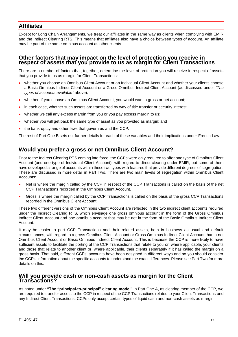# **Affiliates**

Except for Long Chain Arrangements, we treat our affiliates in the same way as clients when complying with EMIR and the Indirect Clearing RTS. This means that affiliates also have a choice between types of account. An affiliate may be part of the same omnibus account as other clients.

#### **Other factors that may impact on the level of protection you receive in respect of assets that you provide to us as margin for Client Transactions**

There are a number of factors that, together, determine the level of protection you will receive in respect of assets that you provide to us as margin for Client Transactions:

- whether you choose an Omnibus Client Account or an Individual Client Account and whether your clients choose a Basic Omnibus Indirect Client Account or a Gross Omnibus Indirect Client Account (as discussed under *"The types of accounts available"* above)*;*
- whether, if you choose an Omnibus Client Account, you would want a gross or net account;
- in each case, whether such assets are transferred by way of title transfer or security interest;
- whether we call any excess margin from you or you pay excess margin to us;
- whether you will get back the same type of asset as you provided as margin; and
- the bankruptcy and other laws that govern us and the CCP.

The rest of Part One B sets out further details for each of these variables and their implications under French Law.

# **Would you prefer a gross or net Omnibus Client Account?**

Prior to the Indirect Clearing RTS coming into force, the CCPs were only required to offer one type of Omnibus Client Account (and one type of Individual Client Account), with regard to direct clearing under EMIR, but some of them have developed a range of accounts within these two types with features that provide different degrees of segregation. These are discussed in more detail in Part Two. There are two main levels of segregation within Omnibus Client Accounts:

- Net is where the margin called by the CCP in respect of the CCP Transactions is called on the basis of the net CCP Transactions recorded in the Omnibus Client Account.
- Gross is where the margin called by the CCP Transactions is called on the basis of the gross CCP Transactions recorded in the Omnibus Client Account.

These two different versions of the Omnibus Client Account are reflected in the two indirect client accounts required under the Indirect Clearing RTS, which envisage one gross omnibus account in the form of the Gross Omnibus Indirect Client Account and one omnibus account that may be net in the form of the Basic Omnibus Indirect Client Account.

It may be easier to port CCP Transactions and their related assets, both in business as usual and default circumstances, with regard to a gross Omnibus Client Account or Gross Omnibus Indirect Client Account than a net Omnibus Client Account or Basic Omnibus Indirect Client Account. This is because the CCP is more likely to have sufficient assets to facilitate the porting of the CCP Transactions that relate to you or, where applicable, your clients and those that relate to another client or, where applicable, their clients separately if it has called the margin on a gross basis. That said, different CCPs' accounts have been designed in different ways and so you should consider the CCP's information about the specific accounts to understand the exact differences. Please see Part Two for more details on this.

#### **Will you provide cash or non-cash assets as margin for the Client Transactions?**

As noted under **"The "principal-to-principal" clearing model"** in Part One A, as clearing member of the CCP, we are required to transfer assets to the CCP in respect of the CCP Transactions related to your Client Transactions and any Indirect Client Transactions. CCPs only accept certain types of liquid cash and non-cash assets as margin.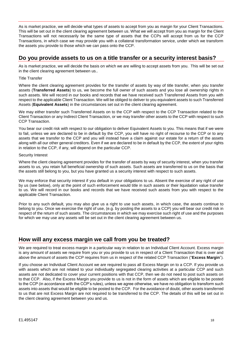As is market practice, we will decide what types of assets to accept from you as margin for your Client Transactions. This will be set out in the client clearing agreement between us. What we will accept from you as margin for the Client Transactions will not necessarily be the same type of assets that the CCPs will accept from us for the CCP Transactions, in which case we may provide you with a collateral transformation service, under which we transform the assets you provide to those which we can pass onto the CCP.

# **Do you provide assets to us on a title transfer or a security interest basis?**

As is market practice, we will decide the basis on which we are willing to accept assets from you. This will be set out in the client clearing agreement between us..

#### Title Transfer

Where the client clearing agreement provides for the transfer of assets by way of title transfer, when you transfer assets (**Transferred Assets**) to us, we become the full owner of such assets and you lose all ownership rights in such assets. We will record in our books and records that we have received such Transferred Assets from you with respect to the applicable Client Transaction. We will be obliged to deliver to you equivalent assets to such Transferred Assets (**Equivalent Assets**) in the circumstances set out in the client clearing agreement.

We may either transfer such Transferred Assets on to the CCP with respect to the CCP Transaction related to the Client Transaction or any Indirect Client Transaction, or we may transfer other assets to the CCP with respect to such CCP Transaction.

You bear our credit risk with respect to our obligation to deliver Equivalent Assets to you. This means that if we were to fail, unless we are declared to be in default by the CCP, you will have no right of recourse to the CCP or to any assets that we transfer to the CCP and you will instead have a claim against our estate for a return of the assets along with all our other general creditors. Even if we are declared to be in default by the CCP, the extent of your rights in relation to the CCP, if any, will depend on the particular CCP.

#### Security Interest

Where the client clearing agreement provides for the transfer of assets by way of security interest, when you transfer assets to us, you retain full beneficial ownership of such assets. Such assets are transferred to us on the basis that the assets still belong to you, but you have granted us a security interest with respect to such assets.

We may enforce that security interest if you default in your obligations to us. Absent the exercise of any right of use by us (see below), only at the point of such enforcement would title in such assets or their liquidation value transfer to us. We will record in our books and records that we have received such assets from you with respect to the applicable Client Transaction.

Prior to any such default, you may also give us a right to use such assets, in which case, the assets continue to belong to you. Once we exercise the right of use, (e.g. by posting the assets to a CCP) you will bear our credit risk in respect of the return of such assets. The circumstances in which we may exercise such right of use and the purposes for which we may use any assets will be set out in the client clearing agreement between us.

# **How will any excess margin we call from you be treated?**

We are required to treat excess margin in a particular way in relation to an Individual Client Account. Excess margin is any amount of assets we require from you or you provide to us in respect of a Client Transaction that is over and above the amount of assets the CCP requires from us in respect of the related CCP Transaction ("**Excess Margin**").

If you choose an Individual Client Account we are required to pass all Excess Margin on to a CCP. If you provide us with assets which are not related to your individually segregated clearing activities at a particular CCP and such assets are not dedicated to cover your current positions with that CCP, then we do not need to post such assets on to that CCP. Also, if the Excess Margin you provide to us is not in the form of assets which are eligible to be posted to the CCP (in accordance with the CCP's rules), unless we agree otherwise, we have no obligation to transform such assets into assets that would be eligible to be posted to the CCP. For the avoidance of doubt, other assets transferred to us that are not Excess Margin are not required to be transferred to the CCP. The details of this will be set out in the client clearing agreement between you and us.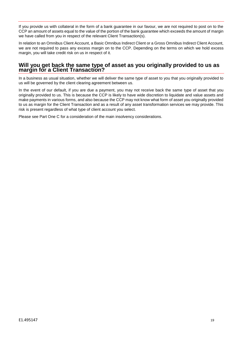If you provide us with collateral in the form of a bank guarantee in our favour, we are not required to post on to the CCP an amount of assets equal to the value of the portion of the bank guarantee which exceeds the amount of margin we have called from you in respect of the relevant Client Transaction(s).

In relation to an Omnibus Client Account, a Basic Omnibus Indirect Client or a Gross Omnibus Indirect Client Account, we are not required to pass any excess margin on to the CCP. Depending on the terms on which we hold excess margin, you will take credit risk on us in respect of it.

#### **Will you get back the same type of asset as you originally provided to us as margin for a Client Transaction?**

In a business as usual situation, whether we will deliver the same type of asset to you that you originally provided to us will be governed by the client clearing agreement between us.

In the event of our default, if you are due a payment, you may not receive back the same type of asset that you originally provided to us. This is because the CCP is likely to have wide discretion to liquidate and value assets and make payments in various forms, and also because the CCP may not know what form of asset you originally provided to us as margin for the Client Transaction and as a result of any asset transformation services we may provide. This risk is present regardless of what type of client account you select.

Please see Part One C for a consideration of the main insolvency considerations.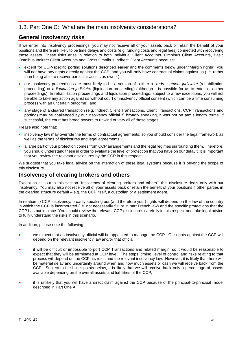# <span id="page-20-0"></span>1.3. Part One C: What are the main insolvency considerations?

# **General insolvency risks**

If we enter into insolvency proceedings, you may not receive all of your assets back or retain the benefit of your positions and there are likely to be time delays and costs (e.g. funding costs and legal fees) connected with recovering those assets. These risks arise in relation to both Individual Client Accounts, Omnibus Client Accounts, Basic Omnibus Indirect Client Accounts and Gross Omnibus Indirect Client Accounts because:

- except for CCP-specific porting solutions described earlier and the comments below under "Margin rights", you will not have any rights directly against the CCP; and you will only have contractual claims against us (i.e. rather than being able to recover particular assets as owner);
- our insolvency proceedings are most likely to be a version of either a *redressement judiciaire* (rehabilitation proceeding) or a *liquidation judiciaire* (liquidation proceeding) (although it is possible for us to enter into other proceedings). In rehabilitation proceedings and liquidation proceedings, subject to a few exceptions, you will not be able to take any action against us without court or insolvency official consent (which can be a time consuming process with an uncertain outcome); and
- any stage of a cleared transaction (e.g. Indirect Client Transactions, Client Transactions, CCP Transactions and porting) may be challenged by our insolvency official if, broadly speaking, it was not on arm's length terms. If successful, the court has broad powers to unwind or vary all of those stages.

Please also note that:

- insolvency law may override the terms of contractual agreements, so you should consider the legal framework as well as the terms of disclosures and legal agreements;
- a large part of your protection comes from CCP arrangements and the legal regimes surrounding them. Therefore, you should understand these in order to evaluate the level of protection that you have on our default. It is important that you review the relevant disclosures by the CCP in this respect.

We suggest that you take legal advice on the interaction of these legal systems because it is beyond the scope of this disclosure.

### **Insolvency of clearing brokers and others**

Except as set out in this section "Insolvency of clearing brokers and others", this disclosure deals only with our insolvency. You may also not receive all of your assets back or retain the benefit of your positions if other parties in the clearing structure default – e.g. the CCP itself, a custodian or a settlement agent.

In relation to CCP insolvency, broadly speaking our (and therefore your) rights will depend on the law of the country in which the CCP is incorporated (i.e. not necessarily full or in part French law) and the specific protections that the CCP has put in place. You should review the relevant CCP disclosures carefully in this respect and take legal advice to fully understand the risks in this scenario.

In addition, please note the following:

- we expect that an insolvency official will be appointed to manage the CCP. Our rights against the CCP will depend on the relevant insolvency law and/or that official;
- it will be difficult or impossible to port CCP Transactions and related margin, so it would be reasonable to expect that they will be terminated at CCP level. The steps, timing, level of control and risks relating to that process will depend on the CCP, its rules and the relevant insolvency law. However, it is likely that there will be material delay and uncertainty around when and how much assets or cash we will receive back from the CCP. Subject to the bullet points below, it is likely that we will receive back only a percentage of assets available depending on the overall assets and liabilities of the CCP;
- it is unlikely that you will have a direct claim against the CCP because of the principal-to-principal model described in Part One A;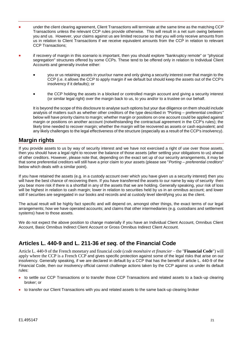- under the client clearing agreement, Client Transactions will terminate at the same time as the matching CCP Transactions unless the relevant CCP rules provide otherwise. This will result in a net sum owing between you and us. However, your claims against us are limited recourse so that you will only receive amounts from us in relation to Client Transactions if we receive equivalent amounts from the CCP in relation to relevant CCP Transactions;
- if recovery of margin in this scenario is important, then you should explore "bankruptcy remote" or "physical segregation" structures offered by some CCPs. These tend to be offered only in relation to Individual Client Accounts and generally involve either:
	- you or us retaining assets in your/our name and only giving a security interest over that margin to the CCP (i.e. it allows the CCP to apply margin if we default but should keep the assets out of the CCP's insolvency if it defaults); or
	- the CCP holding the assets in a blocked or controlled margin account and giving a security interest (or similar legal right) over the margin back to us, to you and/or to a trustee on our behalf.

It is beyond the scope of this disclosure to analyse such options but your due diligence on them should include analysis of matters such as whether other creditors of the type described in *"*Porting – preferential creditors*"* below will have priority claims to margin; whether margin or positions on one account could be applied against margin or positions on another account (notwithstanding the contractual agreement in the CCP's rules); the likely time needed to recover margin; whether the margin will be recovered as assets or cash equivalent; and any likely challenges to the legal effectiveness of the structure (especially as a result of the CCP's insolvency).

# **Margin rights**

If you provide assets to us by way of security interest and we have not exercised a right of use over those assets, then you should have a legal right to recover the balance of those assets (after settling your obligations to us) ahead of other creditors. However, please note that, depending on the exact set up of our security arrangements, it may be that some preferential creditors will still have a prior claim to your assets (please see "*Porting – preferential creditors*" below which deals with a similar point).

If you have retained the assets (e.g. in a custody account over which you have given us a security interest) then you will have the best chance of recovering them. If you have transferred the assets to our name by way of security then you bear more risk if there is a shortfall in any of the assets that we are holding. Generally speaking, your risk of loss will be highest in relation to cash margin; lower in relation to securities held by us in an omnibus account; and lower still if securities are segregated in our books and records and at custody level identifying you as the client.

The actual result will be highly fact specific and will depend on, amongst other things, the exact terms of our legal arrangements; how we have operated accounts; and claims that other intermediaries (e.g. custodians and settlement systems) have to those assets.

We do not expect the above position to change materially if you have an Individual Client Account, Omnibus Client Account, Basic Omnibus Indirect Client Account or Gross Omnibus Indirect Client Account.

# **Articles L. 440-9 and L. 211-36** *et seq.* **of the Financial Code**

Article L. 440-9 of the French monetary and financial code (*code monétaire et financier* – the "**Financial Code**") will apply where the CCP is a French CCP and gives specific protection against some of the legal risks that arise on our insolvency. Generally speaking, if we are declared in default by a CCP that has the benefit of article L. 440-9 of the Financial Code, then our insolvency official cannot challenge actions taken by the CCP against us under its default rules:

- to settle our CCP Transactions or to transfer those CCP Transactions and related assets to a back-up clearing broker; or
- to transfer our Client Transactions with you and related assets to the same back-up clearing broker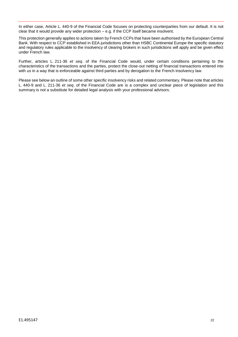In either case, Article L. 440-9 of the Financial Code focuses on protecting counterparties from our default. It is not clear that it would provide any wider protection – e.g. if the CCP itself became insolvent.

This protection generally applies to actions taken by French CCPs that have been authorised by the European Central Bank. With respect to CCP established in EEA jurisdictions other than HSBC Continental Europe the specific statutory and regulatory rules applicable to the insolvency of clearing brokers in such jurisdictions will apply and be given effect under French law.

Further, articles L. 211-36 *et seq*. of the Financial Code would, under certain conditions pertaining to the characteristics of the transactions and the parties, protect the close-out netting of financial transactions entered into with us in a way that is enforceable against third parties and by derogation to the French insolvency law.

Please see below an outline of some other specific insolvency risks and related commentary. Please note that articles L. 440-9 and L. 211-36 *et seq*. of the Financial Code are is a complex and unclear piece of legislation and this summary is not a substitute for detailed legal analysis with your professional advisors.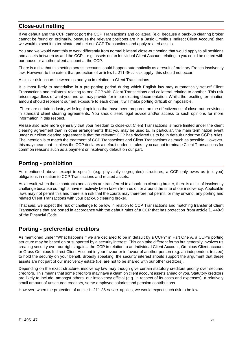# **Close-out netting**

If we default and the CCP cannot port the CCP Transactions and collateral (e.g. because a back-up clearing broker cannot be found or, ordinarily, because the relevant positions are in a Basic Omnibus Indirect Client Account) then we would expect it to terminate and net our CCP Transactions and apply related assets.

You and we would want this to work differently from normal bilateral close-out netting that would apply to all positions and assets between us and the CCP – e.g. assets on an Individual Client Account relating to you could be netted with our house or another client account at the CCP.

There is a risk that this netting across accounts could happen automatically as a result of ordinary French insolvency law. However, to the extent that protection of articles L. 211-36 *et seq.* apply, this should not occur.

A similar risk occurs between us and you in relation to Client Transactions.

It is most likely to materialise in a pre-porting period during which English law may automatically set-off Client Transactions and collateral relating to one CCP with Client Transactions and collateral relating to another. This risk arises regardless of what you and we may provide for in our clearing documentation. Whilst the resulting termination amount should represent our net exposure to each other, it will make porting difficult or impossible.

There are certain industry-wide legal opinions that have been prepared on the effectiveness of close-out provisions in standard client clearing agreements. You should seek legal advice and/or access to such opinions for more information in this respect.

Please also note more generally that your freedom to close-out Client Transactions is more limited under the client clearing agreement than in other arrangements that you may be used to. In particular, the main termination event under our client clearing agreement is that the relevant CCP has declared us to be in default under the CCP's rules. The intention is to match the treatment of CCP Transactions and Client Transactions as much as possible. However, this may mean that – unless the CCP declares a default under its rules - you cannot terminate Client Transactions for common reasons such as a payment or insolvency default on our part.

# **Porting - prohibition**

As mentioned above, except in specific (e.g. physically segregated) structures, a CCP only owes us (not you) obligations in relation to CCP Transactions and related assets.

As a result, when these contracts and assets are transferred to a back-up clearing broker, there is a risk of insolvency challenge because our rights have effectively been taken from us on or around the time of our insolvency. Applicable laws may not permit this and there is a risk that the courts may therefore not permit, or may unwind, any porting and related Client Transactions with your back-up clearing broker.

That said, we expect the risk of challenge to be low in relation to CCP Transactions and matching transfer of Client Transactions that are ported in accordance with the default rules of a CCP that has protection from article L. 440-9 of the Financial Code.

# **Porting - preferential creditors**

As mentioned under "What happens if we are declared to be in default by a CCP?" in Part One A, a CCP's porting structure may be based on or supported by a security interest. This can take different forms but generally involves us creating security over our rights against the CCP in relation to an Individual Client Account, Omnibus Client account or Gross Omnibus Indirect Client Account in your favour or in favour of another person (e.g. an independent trustee) to hold the security on your behalf. Broadly speaking, the security interest should support the argument that these assets are not part of our insolvency estate (i.e. are not to be shared with our other creditors).

Depending on the exact structure, insolvency law may though give certain statutory creditors priority over secured creditors. This means that some creditors may have a claim on client account assets ahead of you. Statutory creditors are likely to include, amongst others, our insolvency official (e.g. in respect of its costs and expenses), a relatively small amount of unsecured creditors, some employee salaries and pension contributions.

However, when the protection of article L. 211-36 *et seq*. applies, we would expect such risk to be low.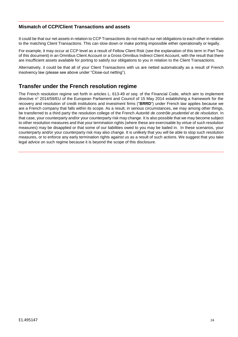#### **Mismatch of CCP/Client Transactions and assets**

It could be that our net assets in relation to CCP Transactions do not match our net obligations to each other in relation to the matching Client Transactions. This can slow down or make porting impossible either operationally or legally.

For example, it may occur at CCP level as a result of Fellow Client Risk (see the explanation of this term in Part Two of this document) in an Omnibus Client Account or a Gross Omnibus Indirect Client Account, with the result that there are insufficient assets available for porting to satisfy our obligations to you in relation to the Client Transactions.

Alternatively, it could be that all of your Client Transactions with us are netted automatically as a result of French insolvency law (please see above under "Close-out netting").

# **Transfer under the French resolution regime**

The French resolution regime set forth in articles L. 613-49 *et seq.* of the Financial Code, which aim to implement directive n° 2014/59/EU of the European Parliament and Council of 15 May 2014 establishing a framework for the recovery and resolution of credit institutions and investment firms ("**BRRD**") under French law applies because we are a French company that falls within its scope. As a result, in serious circumstances, we may among other things, be transferred to a third party the resolution college of the French *Autorité de contrôle prudentiel et de résolution*. In that case, your counterparty and/or your counterparty risk may change. It is also possible that we may become subject to other resolution measures and that your termination rights (where these are exercisable by virtue of such resolution measures) may be disapplied or that some of our liabilities owed to you may be bailed in. In these scenarios, your counterparty and/or your counterparty risk may also change. It is unlikely that you will be able to stop such resolution measures, or to enforce any early termination rights against us as a result of such actions. We suggest that you take legal advice on such regime because it is beyond the scope of this disclosure.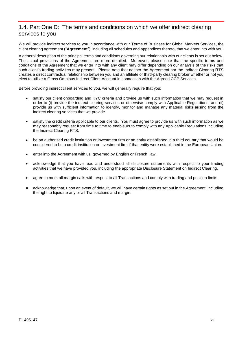# 1.4. Part One D: The terms and conditions on which we offer indirect clearing services to you

We will provide indirect services to you in accordance with our Terms of Business for Global Markets Services, the client clearing agreement ("**Agreement**"), including all schedules and appendices thereto, that we enter into with you.

A general description of the principal terms and conditions governing our relationship with our clients is set out below. The actual provisions of the Agreement are more detailed. Moreover, please note that the specific terms and conditions of the Agreement that we enter into with any client may differ depending on our analysis of the risks that such client's trading activities may present. Please note that neither the Agreement nor the Indirect Clearing RTS creates a direct contractual relationship between you and an affiliate or third-party clearing broker whether or not you elect to utilize a Gross Omnibus Indirect Client Account in connection with the Agreed CCP Services.

Before providing indirect client services to you, we will generally require that you:

- satisfy our client onboarding and KYC criteria and provide us with such information that we may request in order to (i) provide the indirect clearing services or otherwise comply with Applicable Regulations; and (ii) provide us with sufficient information to identify, monitor and manage any material risks arising from the indirect clearing services that we provide.
- satisfy the credit criteria applicable to our clients. You must agree to provide us with such information as we may reasonably request from time to time to enable us to comply with any Applicable Regulations including the Indirect Clearing RTS.
- be an authorised credit institution or investment firm or an entity established in a third country that would be considered to be a credit institution or investment firm if that entity were established in the European Union.
- enter into the Agreement with us, governed by English or French law.
- acknowledge that you have read and understood all disclosure statements with respect to your trading activities that we have provided you, including the appropriate Disclosure Statement on Indirect Clearing.
- agree to meet all margin calls with respect to all Transactions and comply with trading and position limits.
- acknowledge that, upon an event of default, we will have certain rights as set out in the Agreement, including the right to liquidate any or all Transactions and margin.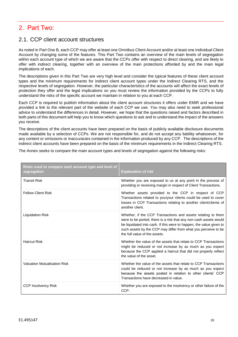# <span id="page-26-0"></span>2. Part Two:

# <span id="page-26-1"></span>2.1. CCP client account structures

As noted in Part One B, each CCP may offer at least one Omnibus Client Account and/or at least one Individual Client Account by changing some of the features. This Part Two contains an overview of the main levels of segregation within each account type of which we are aware that the CCPs offer with respect to direct clearing, and are likely to offer with indirect clearing, together with an overview of the main protections afforded by and the main legal implications of each.

The descriptions given in this Part Two are very high level and consider the typical features of these client account types and the minimum requirements for indirect client account types under the Indirect Clearing RTS, and the respective levels of segregation. However, the particular characteristics of the accounts will affect the exact levels of protection they offer and the legal implications so you must review the information provided by the CCPs to fully understand the risks of the specific account we maintain in relation to you at each CCP.

Each CCP is required to publish information about the client account structures it offers under EMIR and we have provided a link to the relevant part of the website of each CCP we use. You may also need to seek professional advice to understand the differences in detail. However, we hope that the questions raised and factors described in both parts of this document will help you to know which questions to ask and to understand the impact of the answers you receive.

The descriptions of the client accounts have been prepared on the basis of publicly available disclosure documents made available by a selection of CCPs. We are not responsible for, and do not accept any liability whatsoever, for any content or omissions or inaccuracies contained in the information produced by any CCP. The descriptions of the indirect client accounts have been prepared on the basis of the minimum requirements in the Indirect Clearing RTS.

The Annex seeks to compare the main account types and levels of segregation against the following risks:

| Risks used to compare each account type and level of<br>segregation | <b>Explanation of risk</b>                                                                                                                                                                                                                                                                                  |
|---------------------------------------------------------------------|-------------------------------------------------------------------------------------------------------------------------------------------------------------------------------------------------------------------------------------------------------------------------------------------------------------|
| <b>Transit Risk</b>                                                 | Whether you are exposed to us at any point in the process of<br>providing or receiving margin in respect of Client Transactions.                                                                                                                                                                            |
| <b>Fellow Client Risk</b>                                           | Whether assets provided to the CCP in respect of CCP<br>Transactions related to you/your clients could be used to cover<br>losses in CCP Transactions relating to another client/clients of<br>another client.                                                                                              |
| <b>Liquidation Risk</b>                                             | Whether, if the CCP Transactions and assets relating to them<br>were to be ported, there is a risk that any non-cash assets would<br>be liquidated into cash. If this were to happen, the value given to<br>such assets by the CCP may differ from what you perceive to be<br>the full value of the assets. |
| <b>Haircut Risk</b>                                                 | Whether the value of the assets that relate to CCP Transactions<br>might be reduced or not increase by as much as you expect<br>because the CCP applied a haircut that did not properly reflect<br>the value of the asset.                                                                                  |
| <b>Valuation Mutualisation Risk</b>                                 | Whether the value of the assets that relate to CCP Transactions<br>could be reduced or not increase by as much as you expect<br>because the assets posted in relation to other clients' CCP<br>Transactions have decreased in value.                                                                        |
| <b>CCP Insolvency Risk</b>                                          | Whether you are exposed to the insolvency or other failure of the<br>CCP.                                                                                                                                                                                                                                   |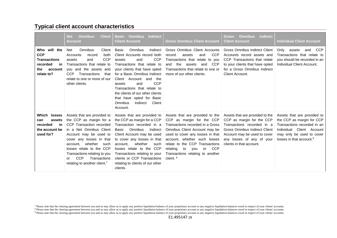# **Typical client account characteristics**

|                                                                                                     | <b>Client</b><br><b>Net</b><br><b>Omnibus</b><br><b>Account</b>                                                                                                                                                                                                                                                                          | <b>Indirect</b><br><b>Omnibus</b><br><b>Basic</b><br><b>Client Account</b>                                                                                                                                                                                                                                                                                                                                       | <b>Gross Omnibus Client Account</b>                                                                                                                                                                                                                                                                                                              | <b>Indirect</b><br><b>Omnibus</b><br><b>Gross</b><br><b>Client Account</b>                                                                                                                                                  | <b>Individual Client Account</b>                                                                                                                                                             |
|-----------------------------------------------------------------------------------------------------|------------------------------------------------------------------------------------------------------------------------------------------------------------------------------------------------------------------------------------------------------------------------------------------------------------------------------------------|------------------------------------------------------------------------------------------------------------------------------------------------------------------------------------------------------------------------------------------------------------------------------------------------------------------------------------------------------------------------------------------------------------------|--------------------------------------------------------------------------------------------------------------------------------------------------------------------------------------------------------------------------------------------------------------------------------------------------------------------------------------------------|-----------------------------------------------------------------------------------------------------------------------------------------------------------------------------------------------------------------------------|----------------------------------------------------------------------------------------------------------------------------------------------------------------------------------------------|
| Who will the<br><b>CCP</b><br><b>Transactions</b><br>recorded<br>in<br>the<br>account<br>relate to? | Omnibus<br>Net<br>Client<br>both<br>Accounts<br>record<br><b>CCP</b><br>and<br>assets<br>Transactions that relate to<br>you and the assets and<br><b>CCP</b><br>Transactions<br>that<br>relate to one or more of our<br>other clients.                                                                                                   | Basic<br><b>Omnibus</b><br>Indirect<br>Client Accounts record both<br><b>CCP</b><br>assets<br>and<br>Transactions that relate to<br>your clients that have opted<br>for a Basic Omnibus Indirect<br>Client Account and<br>the<br><b>CCP</b><br>and<br>assets<br>Transactions that relate to<br>the clients of our other clients<br>that have opted for Basic<br><b>Omnibus</b><br>Indirect<br>Client<br>Account. | Gross Omnibus Client Accounts<br><b>CCP</b><br>record<br>and<br>assets<br>Transactions that relate to you<br>the<br><b>CCP</b><br>and<br>assets<br>and<br>Transactions that relate to one or<br>more of our other clients.                                                                                                                       | <b>Gross Omnibus Indirect Client</b><br>Accounts record assets and<br>CCP Transactions that relate<br>to your clients that have opted<br>for a Gross Omnibus Indirect<br>Client Account.                                    | <b>CCP</b><br>Only assets<br>and<br>Transactions that relate to<br>you should be recorded in an<br>Individual Client Account.                                                                |
| Which losses<br>assets<br>can<br>recorded<br>in<br>the account be<br>used for?                      | Assets that are provided to<br>the CCP as margin for a<br>CCP Transaction recorded<br>in a Net Omnibus Client<br>Account may be used to<br>cover any losses in that<br>account, whether such<br>losses relate to the CCP<br>Transactions relating to you<br><b>CCP</b><br>Transactions<br>Ωr<br>relating to another client. <sup>7</sup> | Assets that are provided to<br>the CCP as margin for a CCP<br>Transaction recorded in a<br>Omnibus<br>Indirect<br>Basic<br>Client Account may be used<br>to cover any losses in that<br>whether<br>account.<br>such<br>losses relate to the CCP<br>Transactions relating to your<br>clients or CCP Transactions<br>relating to clients of our other<br>clients.                                                  | Assets that are provided to the<br>CCP as margin for the CCP<br>Transactions recorded in a Gross<br>Omnibus Client Account may be<br>used to cover any losses in that<br>account, whether such losses<br>relate to the CCP Transactions<br><b>CCP</b><br>relating<br>to<br>you<br>or<br>Transactions relating to another<br>client. <sup>8</sup> | Assets that are provided to the<br>CCP as margin for the CCP<br>Transactions recorded in a<br><b>Gross Omnibus Indirect Client</b><br>Account may be used to cover<br>any losses of any of your<br>clients in that account. | Assets that are provided to<br>the CCP as margin for CCP<br>Transactions recorded in an<br>Client Account<br>Individual<br>may only be used to cover<br>losses in that account. <sup>9</sup> |

<sup>&</sup>lt;sup>7</sup> Please note that the clearing agreement between you and us may allow us to apply any positive liquidation balance of your tro any negative liquidation balances owed in respect of your clients' accounts. <sup>8</sup> Please note that the clearing agreement between you and us may allow us to apply any positive liquidation balance of your proprietary account to any negative liquidation balances owed in respect of your clients' accoun <sup>9</sup> Please note that the clearing agreement between you and us may allow us to apply any positive liquidation balance of your proprietary account to any negative liquidation balances owed in respect of your clients' accoun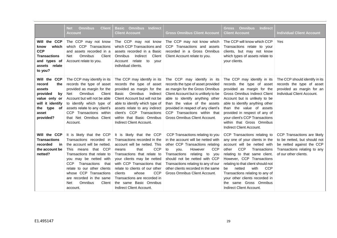|                                                                                                                                     | <b>Omnibus</b><br><b>Client</b><br><b>Net</b><br><b>Account</b>                                                                                                                                                                                                                                                                                | <b>Indirect</b><br><b>Basic Omnibus</b><br><b>Client Account</b>                                                                                                                                                                                                                                                                                                              | <b>Gross Omnibus Client Account</b>                                                                                                                                                                                                                                                                                                      | <b>Indirect</b><br><b>Omnibus</b><br>Gross<br><b>Client Account</b>                                                                                                                                                                                                                                                                                                                                          | <b>Individual Client Account</b>                                                                                                                  |
|-------------------------------------------------------------------------------------------------------------------------------------|------------------------------------------------------------------------------------------------------------------------------------------------------------------------------------------------------------------------------------------------------------------------------------------------------------------------------------------------|-------------------------------------------------------------------------------------------------------------------------------------------------------------------------------------------------------------------------------------------------------------------------------------------------------------------------------------------------------------------------------|------------------------------------------------------------------------------------------------------------------------------------------------------------------------------------------------------------------------------------------------------------------------------------------------------------------------------------------|--------------------------------------------------------------------------------------------------------------------------------------------------------------------------------------------------------------------------------------------------------------------------------------------------------------------------------------------------------------------------------------------------------------|---------------------------------------------------------------------------------------------------------------------------------------------------|
| Will the CCP<br>which<br>know<br><b>CCP</b><br><b>Transactions</b><br>and types of<br>assets relate<br>to you?                      | The CCP may not know<br>which CCP Transactions<br>and assets recorded in a<br>Omnibus<br>Client<br><b>Net</b><br>Account relate to you.                                                                                                                                                                                                        | The CCP may not know<br>which CCP Transactions and<br>assets recorded in a Basic<br>Omnibus<br>Indirect<br>Client<br>Account<br>relate to<br>your<br>individual clients.                                                                                                                                                                                                      | The CCP may not know which<br>CCP Transactions and assets<br>recorded in a Gross Omnibus<br>Client Account relate to you.                                                                                                                                                                                                                | The CCP will know which CCP<br>Transactions relate to your<br>clients, but may not know<br>which types of assets relate to<br>your clients.                                                                                                                                                                                                                                                                  | <b>Yes</b>                                                                                                                                        |
| Will the CCP<br>record<br>the<br>assets<br>provided<br>by<br>value only or<br>will it identify<br>the type of<br>asset<br>provided? | The CCP may identify in its<br>records the type of asset<br>provided as margin for the<br><b>Omnibus</b><br>Client<br><b>Net</b><br>Account but will not be able<br>to identify which type of<br>assets relate to any client's<br>CCP Transactions within<br>that Net Omnibus Client<br>Account.                                               | The CCP may identify in its<br>records the type of asset<br>provided as margin for the<br>Omnibus<br>Indirect<br>Basic<br>Client Account but will not be<br>able to identify which type of<br>assets relate to any indirect<br>client's CCP Transactions<br>within that Basic Omnibus<br>Indirect Client Account.                                                             | The CCP may identify in its<br>records the type of asset provided<br>as margin for the Gross Omnibus<br>Client Account but is unlikely to be<br>able to identify anything other<br>than the value of the assets<br>provided in respect of any client's<br>CCP Transactions within that<br>Gross Omnibus Client Account.                  | The CCP may identify in its<br>records the type of asset<br>provided as margin for the<br><b>Gross Omnibus Indirect Client</b><br>Account but is unlikely to be<br>able to identify anything other<br>than the value of assets<br>provided in respect of any of<br>your client's CCP Transactions<br>within that Gross Omnibus<br>Indirect Client Account.                                                   | The CCP should identify in its<br>records the type of asset<br>provided as margin for an<br>Individual Client Account.                            |
| Will the CCP<br><b>Transactions</b><br>recorded<br>in<br>the account be<br>netted?                                                  | It is likely that the CCP<br>Transactions recorded in<br>the account will be netted.<br>This means that CCP<br>Transactions that relate to<br>you may be netted with<br>Transactions<br><b>CCP</b><br>that<br>relate to our other clients<br>whose CCP Transactions<br>are recorded in the same<br>Omnibus<br>Client<br><b>Net</b><br>account. | It is likely that the CCP<br>Transactions recorded in the<br>account will be netted. This<br><b>CCP</b><br>that<br>means<br>Transactions that relate to<br>your clients may be netted<br>with CCP Transactions that<br>relate to clients of our other<br><b>CCP</b><br>whose<br>clients<br>Transactions are recorded in<br>the same Basic Omnibus<br>Indirect Client Account. | CCP Transactions relating to you<br>in the account will be netted with<br>other CCP Transactions relating<br><b>CCP</b><br>However<br>to<br>you.<br>Transactions<br>relating<br>to<br>you<br>should not be netted with CCP<br>Transactions relating to any of our<br>other clients recorded in the same<br>Gross Omnibus Client Account. | CCP Transactions relating to<br>any one of your clients in the<br>account will be netted with<br><b>CCP</b><br>Transactions<br>other<br>relating to that same client.<br>However, CCP Transactions<br>relating to that client should not<br><b>CCP</b><br>with<br>netted<br>be<br>Transactions relating to any of<br>your other clients recorded in<br>same Gross Omnibus<br>the<br>Indirect Client Account. | CCP Transactions are likely<br>to be netted, but should not<br>be netted against the CCP<br>Transactions relating to any<br>of our other clients. |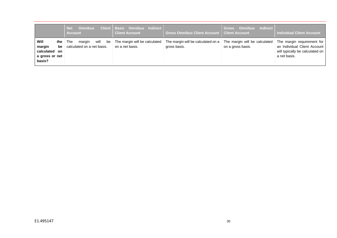|                                                             | <b>Omnibus</b><br><b>Net</b><br><b>Account</b>                          | Client   Basic Omnibus Indirect  <br><b>Client Account</b> | Gross Omnibus Client Account   Client Account      | <b>Gross Omnibus Indirect</b>                      | <b>Individual Client Account</b>                                                                              |
|-------------------------------------------------------------|-------------------------------------------------------------------------|------------------------------------------------------------|----------------------------------------------------|----------------------------------------------------|---------------------------------------------------------------------------------------------------------------|
| Will<br>margin<br>calculated on<br>a gross or net<br>basis? | will<br>be<br>the The<br>margin<br><b>be</b> calculated on a net basis. | The margin will be calculated<br>on a net basis.           | The margin will be calculated on a<br>gross basis. | The margin will be calculated<br>on a gross basis. | The margin requirement for<br>an Individual Client Account<br>will typically be calculated on<br>a net basis. |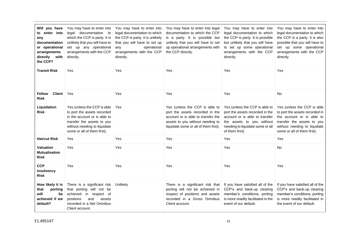| Will you have<br>to enter into<br>any<br>documentation<br>or operational<br>arrangements<br>directly with<br>the CCP? | You may have to enter into<br>legal documentation to<br>which the CCP is party. It is<br>unlikely that you will have to<br>set up any operational<br>arrangements with the CCP<br>directly. | You may have to enter into<br>legal documentation to which<br>the CCP is party. It is unlikely<br>that you will have to set up<br>operational<br>any<br>arrangements with the CCP<br>directly. | You may have to enter into legal<br>documentation to which the CCP<br>is a party. It is possible but<br>unlikely that you will have to set<br>up operational arrangements with<br>the CCP directly. | You may have to enter into<br>legal documentation to which<br>the CCP is party. It is possible<br>but unlikely that you will have<br>to set up some operational<br>arrangements with the CCP<br>directly. | You may have to enter into<br>legal documentation to which<br>the CCP is a party. It is also<br>possible that you will have to<br>set up some operational<br>arrangements with the CCP<br>directly. |
|-----------------------------------------------------------------------------------------------------------------------|---------------------------------------------------------------------------------------------------------------------------------------------------------------------------------------------|------------------------------------------------------------------------------------------------------------------------------------------------------------------------------------------------|-----------------------------------------------------------------------------------------------------------------------------------------------------------------------------------------------------|-----------------------------------------------------------------------------------------------------------------------------------------------------------------------------------------------------------|-----------------------------------------------------------------------------------------------------------------------------------------------------------------------------------------------------|
| <b>Transit Risk</b>                                                                                                   | Yes                                                                                                                                                                                         | Yes                                                                                                                                                                                            | Yes                                                                                                                                                                                                 | Yes                                                                                                                                                                                                       | Yes                                                                                                                                                                                                 |
| <b>Client</b><br><b>Fellow</b><br><b>Risk</b>                                                                         | Yes                                                                                                                                                                                         | Yes                                                                                                                                                                                            | Yes                                                                                                                                                                                                 | <b>Yes</b>                                                                                                                                                                                                | No                                                                                                                                                                                                  |
| Liquidation<br><b>Risk</b>                                                                                            | Yes (unless the CCP is able<br>to port the assets recorded<br>in the account or is able to<br>transfer the assets to you<br>without needing to liquidate<br>some or all of them first).     | Yes                                                                                                                                                                                            | Yes (unless the CCP is able to<br>port the assets recorded in the<br>account or is able to transfer the<br>assets to you without needing to<br>liquidate some or all of them first).                | Yes (unless the CCP is able to<br>port the assets recorded in the<br>account or is able to transfer<br>the assets to you without<br>needing to liquidate some or all<br>of them first).                   | Yes (unless the CCP is able<br>to port the assets recorded in<br>the account or is able to<br>transfer the assets to you<br>without needing to liquidate<br>some or all of them first).             |
| <b>Haircut Risk</b>                                                                                                   | Yes                                                                                                                                                                                         | Yes                                                                                                                                                                                            | Yes                                                                                                                                                                                                 | Yes                                                                                                                                                                                                       | Yes                                                                                                                                                                                                 |
| <b>Valuation</b><br><b>Mutualisation</b><br><b>Risk</b>                                                               | Yes                                                                                                                                                                                         | Yes                                                                                                                                                                                            | Yes                                                                                                                                                                                                 | Yes                                                                                                                                                                                                       | No                                                                                                                                                                                                  |
| <b>CCP</b><br>Insolvency<br><b>Risk</b>                                                                               | Yes                                                                                                                                                                                         | Yes                                                                                                                                                                                            | Yes                                                                                                                                                                                                 | Yes                                                                                                                                                                                                       | Yes                                                                                                                                                                                                 |
| How likely it is<br>that<br>porting<br>will<br>be<br>achieved if we<br>default?                                       | There is a significant risk<br>that porting will not be<br>achieved<br>in respect of<br>and<br>positions<br>assets<br>recorded in a Net Omnibus<br>Client account.                          | Unlikely                                                                                                                                                                                       | There is a significant risk that<br>porting will not be achieved in<br>respect of positions and assets<br>recorded in a Gross Omnibus<br>Client account.                                            | If you have satisfied all of the<br>CCP's and back-up clearing<br>member's conditions, porting<br>is more readily facilitated in the<br>event of our default.                                             | If you have satisfied all of the<br>CCP's and back-up clearing<br>member's conditions, porting<br>is more readily facilitated in<br>the event of our default.                                       |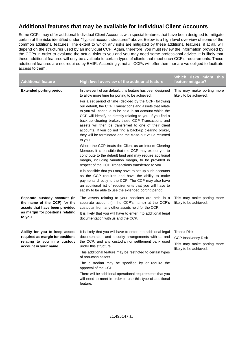# **Additional features that may be available for Individual Client Accounts**

Some CCPs may offer additional Individual Client Accounts with special features that have been designed to mitigate certain of the risks identified under "Typical account structures" above. Below is a high level overview of some of the common additional features. The extent to which any risks are mitigated by these additional features, if at all, will depend on the structures used by an individual CCP. Again, therefore, you must review the information provided by the CCPs in order to evaluate the actual risks to you and you may need some professional advice. It is likely that these additional features will only be available to certain types of clients that meet each CCP's requirements. These additional features are not required by EMIR. Accordingly, not all CCPs will offer them nor are we obliged to facilitate access to them.

| <b>Additional feature</b>                                                                                                                    | High level overview of the additional feature                                                                                                                                                                                                                                                                                                                   | Which risks might<br>this<br>feature mitigate?                                                            |
|----------------------------------------------------------------------------------------------------------------------------------------------|-----------------------------------------------------------------------------------------------------------------------------------------------------------------------------------------------------------------------------------------------------------------------------------------------------------------------------------------------------------------|-----------------------------------------------------------------------------------------------------------|
| <b>Extended porting period</b>                                                                                                               | In the event of our default, this feature has been designed<br>to allow more time for porting to be achieved.<br>For a set period of time (decided by the CCP) following<br>our default, the CCP Transactions and assets that relate<br>to you will continue to be held in an account which the<br>CCP will identify as directly relating to you. If you find a | This may make porting more<br>likely to be achieved.                                                      |
|                                                                                                                                              | back-up clearing broker, these CCP Transactions and<br>assets will then be transferred to one of their client<br>accounts. If you do not find a back-up clearing broker,<br>they will be terminated and the close-out value returned<br>to you.                                                                                                                 |                                                                                                           |
|                                                                                                                                              | Where the CCP treats the Client as an interim Clearing<br>Member, it is possible that the CCP may expect you to<br>contribute to the default fund and may require additional<br>margin, including variation margin, to be provided in<br>respect of the CCP Transactions transferred to you.                                                                    |                                                                                                           |
|                                                                                                                                              | It is possible that you may have to set up such accounts<br>as the CCP requires and have the ability to make<br>payments directly to the CCP. The CCP may also have<br>an additional list of requirements that you will have to<br>satisfy to be able to use the extended porting period.                                                                       |                                                                                                           |
| Separate custody account (in<br>the name of the CCP) for the<br>assets that have been provided<br>as margin for positions relating<br>to you | The assets relating to your positions are held in a<br>separate account (in the CCP's name) at the CCP's<br>custodian from any other assets held for the CCP.<br>It is likely that you will have to enter into additional legal<br>documentation with us and the CCP.                                                                                           | This may make porting more<br>likely to be achieved.                                                      |
| Ability for you to keep assets<br>required as margin for positions<br>relating to you in a custody<br>account in your name.                  | It is likely that you will have to enter into additional legal<br>documentation and security arrangements with us and<br>the CCP, and any custodian or settlement bank used<br>under this structure.<br>This additional feature may be restricted to certain types<br>of non-cash assets.                                                                       | <b>Transit Risk</b><br><b>CCP Insolvency Risk</b><br>This may make porting more<br>likely to be achieved. |
|                                                                                                                                              | The custodian may be specified by or require the<br>approval of the CCP.<br>There will be additional operational requirements that you<br>will need to meet in order to use this type of additional<br>feature.                                                                                                                                                 |                                                                                                           |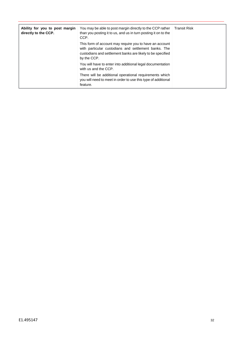| Ability for you to post margin<br>directly to the CCP. | You may be able to post margin directly to the CCP rather<br>than you posting it to us, and us in turn posting it on to the<br>CCP.                                                          | <b>Transit Risk</b> |
|--------------------------------------------------------|----------------------------------------------------------------------------------------------------------------------------------------------------------------------------------------------|---------------------|
|                                                        | This form of account may require you to have an account<br>with particular custodians and settlement banks. The<br>custodians and settlement banks are likely to be specified<br>by the CCP. |                     |
|                                                        | You will have to enter into additional legal documentation<br>with us and the CCP.                                                                                                           |                     |
|                                                        | There will be additional operational requirements which<br>you will need to meet in order to use this type of additional<br>feature.                                                         |                     |